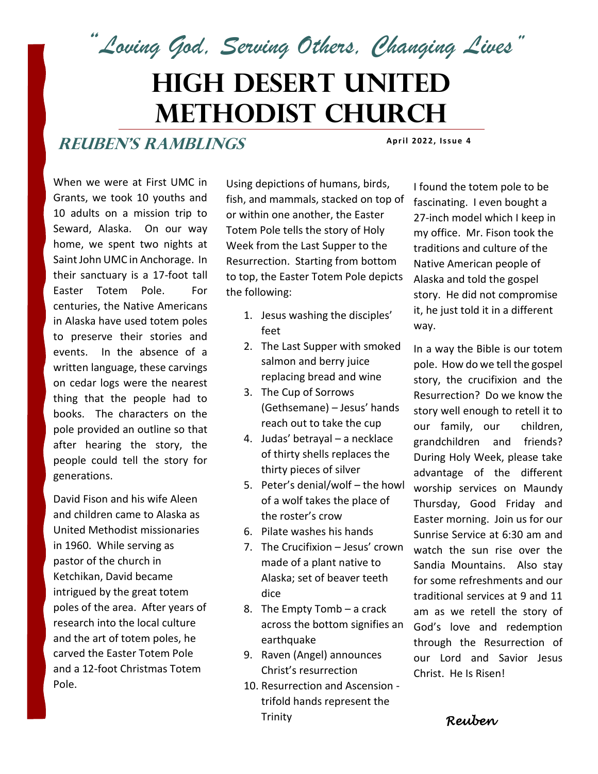*"Loving God, Serving Others, Changing Lives"*

# **High Desert United Methodist Church**

#### **ReuBEN'S RAMBLINGS**

**Apr i l 2022, Iss ue 4**

When we were at First UMC in Grants, we took 10 youths and 10 adults on a mission trip to Seward, Alaska. On our way home, we spent two nights at Saint John UMC in Anchorage. In their sanctuary is a 17-foot tall Easter Totem Pole. For centuries, the Native Americans in Alaska have used totem poles to preserve their stories and events. In the absence of a written language, these carvings on cedar logs were the nearest thing that the people had to books. The characters on the pole provided an outline so that after hearing the story, the people could tell the story for generations.

David Fison and his wife Aleen and children came to Alaska as United Methodist missionaries in 1960. While serving as pastor of the church in Ketchikan, David became intrigued by the great totem poles of the area. After years of research into the local culture and the art of totem poles, he carved the Easter Totem Pole and a 12-foot Christmas Totem Pole.

Using depictions of humans, birds, fish, and mammals, stacked on top of or within one another, the Easter Totem Pole tells the story of Holy Week from the Last Supper to the Resurrection. Starting from bottom to top, the Easter Totem Pole depicts the following:

- 1. Jesus washing the disciples' feet
- 2. The Last Supper with smoked salmon and berry juice replacing bread and wine
- 3. The Cup of Sorrows (Gethsemane) – Jesus' hands reach out to take the cup
- 4. Judas' betrayal a necklace of thirty shells replaces the thirty pieces of silver
- 5. Peter's denial/wolf the howl of a wolf takes the place of the roster's crow
- 6. Pilate washes his hands
- 7. The Crucifixion Jesus' crown made of a plant native to Alaska; set of beaver teeth dice
- 8. The Empty Tomb a crack across the bottom signifies an earthquake
- 9. Raven (Angel) announces Christ's resurrection
- 10. Resurrection and Ascension trifold hands represent the Trinity

I found the totem pole to be fascinating. I even bought a 27-inch model which I keep in my office. Mr. Fison took the traditions and culture of the Native American people of Alaska and told the gospel story. He did not compromise it, he just told it in a different way.

In a way the Bible is our totem pole. How do we tell the gospel story, the crucifixion and the Resurrection? Do we know the story well enough to retell it to our family, our children, grandchildren and friends? During Holy Week, please take advantage of the different worship services on Maundy Thursday, Good Friday and Easter morning. Join us for our Sunrise Service at 6:30 am and watch the sun rise over the Sandia Mountains. Also stay for some refreshments and our traditional services at 9 and 11 am as we retell the story of God's love and redemption through the Resurrection of our Lord and Savior Jesus Christ. He Is Risen!

*Reuben*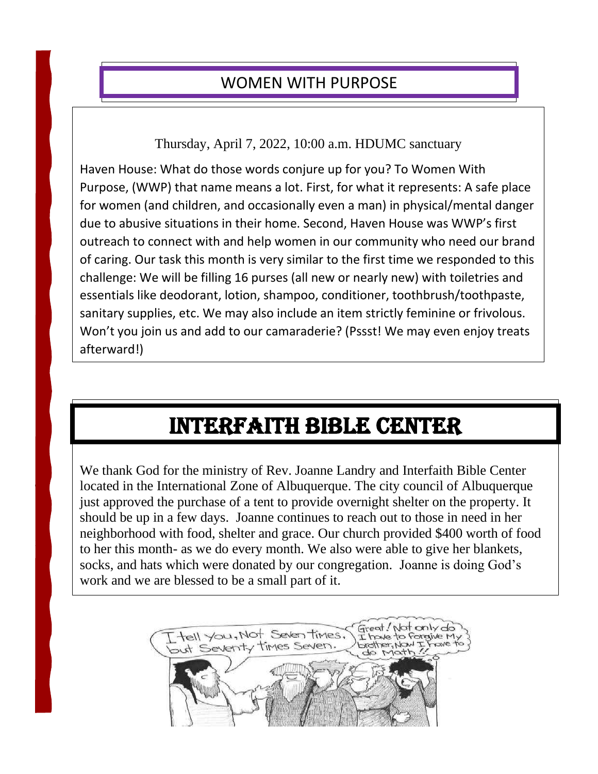## WOMEN WITH PURPOSE

I

 $\overline{\phantom{a}}$ 

Thursday, April 7, 2022, 10:00 a.m. HDUMC sanctuary

Haven House: What do those words conjure up for you? To Women With Purpose, (WWP) that name means a lot. First, for what it represents: A safe place for women (and children, and occasionally even a man) in physical/mental danger due to abusive situations in their home. Second, Haven House was WWP's first outreach to connect with and help women in our community who need our brand of caring. Our task this month is very similar to the first time we responded to this challenge: We will be filling 16 purses (all new or nearly new) with toiletries and essentials like deodorant, lotion, shampoo, conditioner, toothbrush/toothpaste, sanitary supplies, etc. We may also include an item strictly feminine or frivolous. Won't you join us and add to our camaraderie? (Pssst! We may even enjoy treats afterward!)

# Interfaith Bible Center

We thank God for the ministry of Rev. Joanne Landry and Interfaith Bible Center located in the International Zone of Albuquerque. The city council of Albuquerque just approved the purchase of a tent to provide overnight shelter on the property. It should be up in a few days. Joanne continues to reach out to those in need in her neighborhood with food, shelter and grace. Our church provided \$400 worth of food to her this month- as we do every month. We also were able to give her blankets, socks, and hats which were donated by our congregation. Joanne is doing God's work and we are blessed to be a small part of it.

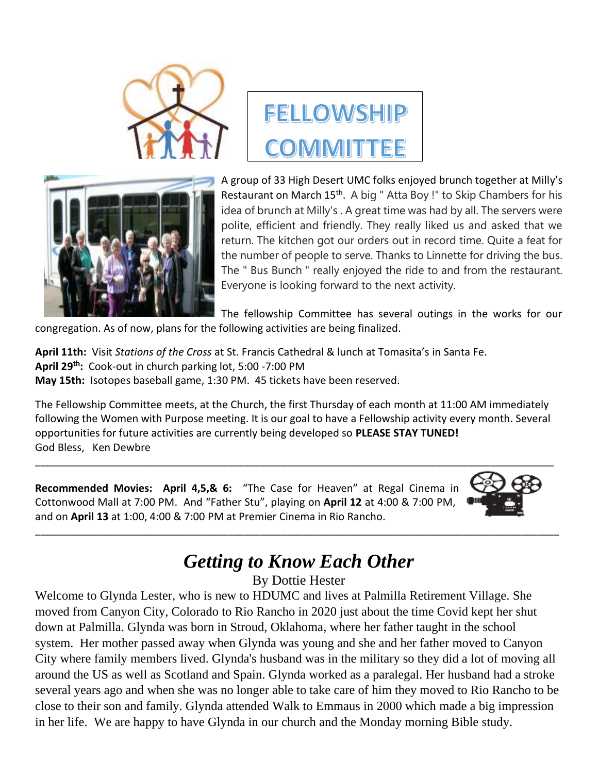





A group of 33 High Desert UMC folks enjoyed brunch together at Milly's Restaurant on March 15<sup>th</sup>. A big " Atta Boy !" to Skip Chambers for his idea of brunch at Milly's . A great time was had by all. The servers were polite, efficient and friendly. They really liked us and asked that we return. The kitchen got our orders out in record time. Quite a feat for the number of people to serve. Thanks to Linnette for driving the bus. The " Bus Bunch " really enjoyed the ride to and from the restaurant. Everyone is looking forward to the next activity.

The fellowship Committee has several outings in the works for our

congregation. As of now, plans for the following activities are being finalized.

**April 11th:** Visit *Stations of the Cross* at St. Francis Cathedral & lunch at Tomasita's in Santa Fe. **April 29 th:** Cook-out in church parking lot, 5:00 -7:00 PM **May 15th:** Isotopes baseball game, 1:30 PM. 45 tickets have been reserved.

The Fellowship Committee meets, at the Church, the first Thursday of each month at 11:00 AM immediately following the Women with Purpose meeting. It is our goal to have a Fellowship activity every month. Several opportunities for future activities are currently being developed so **PLEASE STAY TUNED!** God Bless, Ken Dewbre

**Recommended Movies: April 4,5,& 6:** "The Case for Heaven" at Regal Cinema in Cottonwood Mall at 7:00 PM. And "Father Stu", playing on **April 12** at 4:00 & 7:00 PM, and on **April 13** at 1:00, 4:00 & 7:00 PM at Premier Cinema in Rio Rancho.



# *Getting to Know Each Other*

\_\_\_\_\_\_\_\_\_\_\_\_\_\_\_\_\_\_\_\_\_\_\_\_\_\_\_\_\_\_\_\_\_\_\_\_\_\_\_\_\_\_\_\_\_\_\_\_\_\_\_\_\_\_\_\_\_\_\_\_\_\_\_\_\_\_\_\_\_\_\_\_\_\_\_\_\_\_\_\_\_[\\_\\_\\_\\_\\_\\_\\_\\_\\_\\_](https://www.pngall.com/projector-png/download/60335)\_\_\_\_\_\_\_

By Dottie Hester

Welcome to Glynda Lester, who is new to HDUMC and lives at Palmilla Retirement Village. She moved from Canyon City, Colorado to Rio Rancho in 2020 just about the time Covid kept her shut down at Palmilla. Glynda was born in Stroud, Oklahoma, where her father taught in the school system. Her mother passed away when Glynda was young and she and her father moved to Canyon City where family members lived. Glynda's husband was in the military so they did a lot of moving all around the US as well as Scotland and Spain. Glynda worked as a paralegal. Her husband had a stroke several years ago and when she was no longer able to take care of him they moved to Rio Rancho to be close to their son and family. Glynda attended Walk to Emmaus in 2000 which made a big impression in her life. We are happy to have Glynda in our church and the Monday morning Bible study.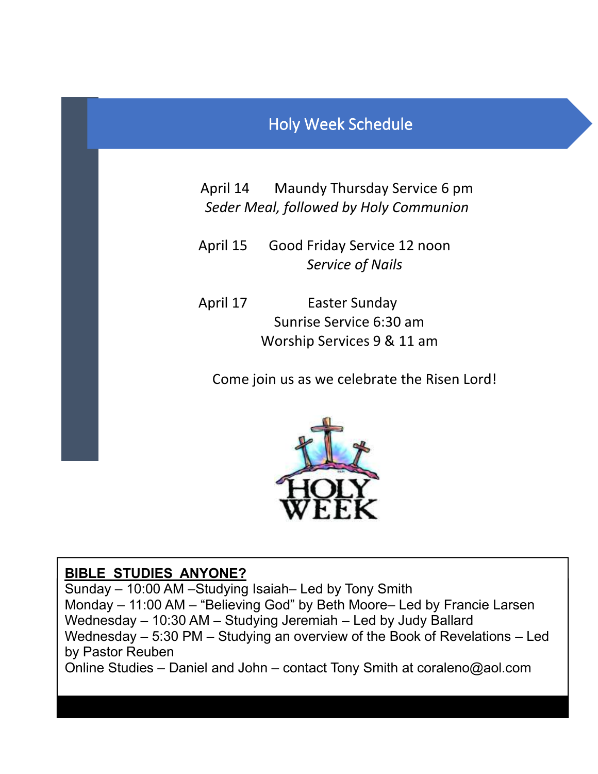## Holy Week Schedule

April 14 Maundy Thursday Service 6 pm *Seder Meal, followed by Holy Communion*

 April 15 Good Friday Service 12 noon *Service of Nails*

 April 17 Easter Sunday Sunrise Service 6:30 am Worship Services 9 & 11 am

Come join us as we celebrate the Risen Lord!



#### **BIBLE STUDIES ANYONE?**

Sunday – 10:00 AM –Studying Isaiah– Led by Tony Smith Monday – 11:00 AM – "Believing God" by Beth Moore– Led by Francie Larsen Wednesday – 10:30 AM – Studying Jeremiah – Led by Judy Ballard Wednesday – 5:30 PM – Studying an overview of the Book of Revelations – Led by Pastor Reuben Online Studies – Daniel and John – contact Tony Smith at coraleno@aol.com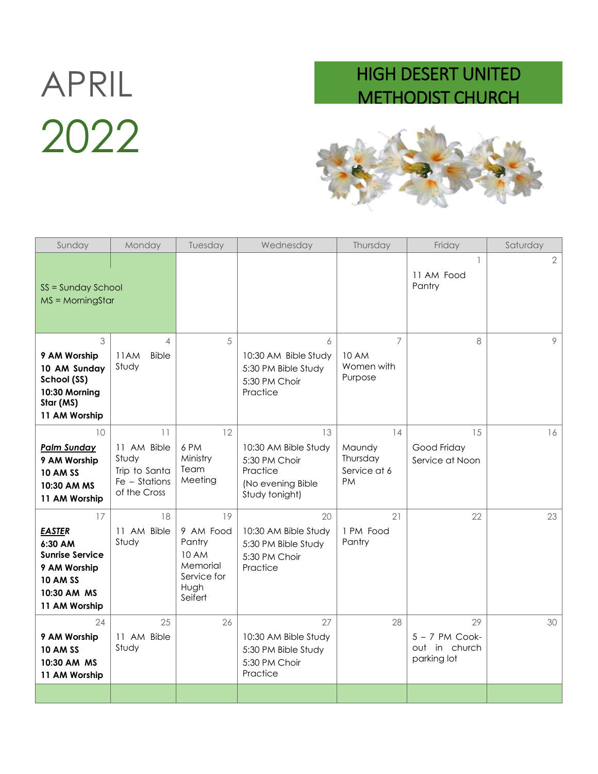# 2022

## APRIL HIGH DESERT UNITED METHODIST CHURCH



| Sunday                                                                                                                      | Monday                                                                         | Tuesday                                                                                 | Wednesday                                                                                      | Thursday                                                | Friday                                                 | Saturday       |
|-----------------------------------------------------------------------------------------------------------------------------|--------------------------------------------------------------------------------|-----------------------------------------------------------------------------------------|------------------------------------------------------------------------------------------------|---------------------------------------------------------|--------------------------------------------------------|----------------|
| SS = Sunday School<br>$MS = \text{MorningStar}$                                                                             |                                                                                |                                                                                         |                                                                                                |                                                         | 11 AM Food<br>Pantry                                   | $\overline{2}$ |
| 3<br>9 AM Worship<br>10 AM Sunday<br>School (SS)<br>10:30 Morning<br>Star (MS)<br>11 AM Worship                             | $\overline{A}$<br>11AM<br><b>Bible</b><br>Study                                | 5                                                                                       | 6<br>10:30 AM Bible Study<br>5:30 PM Bible Study<br>5:30 PM Choir<br>Practice                  | $\overline{7}$<br><b>10 AM</b><br>Women with<br>Purpose | 8                                                      | 9              |
| 10<br><b>Palm Sunday</b><br>9 AM Worship<br><b>10 AM SS</b><br>10:30 AM MS<br>11 AM Worship                                 | 11<br>11 AM Bible<br>Study<br>Trip to Santa<br>$Fe - Stations$<br>of the Cross | 12<br>6 PM<br>Ministry<br>Team<br>Meeting                                               | 13<br>10:30 AM Bible Study<br>5:30 PM Choir<br>Practice<br>(No evening Bible<br>Study tonight) | 14<br>Maundy<br>Thursday<br>Service at 6<br><b>PM</b>   | 15<br>Good Friday<br>Service at Noon                   | 16             |
| 17<br><b>EASTER</b><br>6:30 AM<br><b>Sunrise Service</b><br>9 AM Worship<br><b>10 AM SS</b><br>10:30 AM MS<br>11 AM Worship | 18<br>11 AM Bible<br>Study                                                     | 19<br>9 AM Food<br>Pantry<br><b>10 AM</b><br>Memorial<br>Service for<br>Hugh<br>Seifert | 20<br>10:30 AM Bible Study<br>5:30 PM Bible Study<br>5:30 PM Choir<br>Practice                 | 21<br>1 PM Food<br>Pantry                               | 22                                                     | 23             |
| 24<br>9 AM Worship<br><b>10 AM SS</b><br>10:30 AM MS<br>11 AM Worship                                                       | 25<br>11 AM Bible<br>Study                                                     | 26                                                                                      | 27<br>10:30 AM Bible Study<br>5:30 PM Bible Study<br>5:30 PM Choir<br>Practice                 | 28                                                      | 29<br>$5 - 7$ PM Cook-<br>out in church<br>parking lot | 30             |
|                                                                                                                             |                                                                                |                                                                                         |                                                                                                |                                                         |                                                        |                |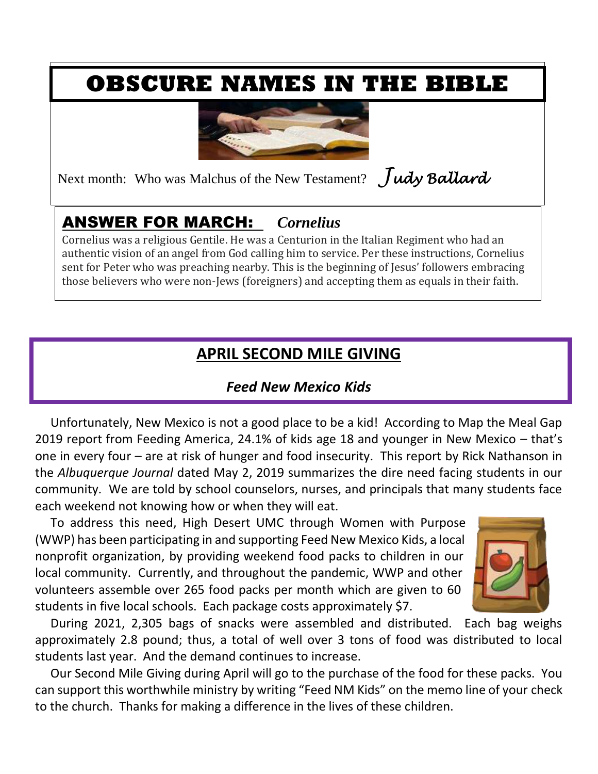# **OBSCURE NAMES IN THE BIBLE**



Next month: Who was Malchus of the New Testament? *Judy Ballard*

## ANSWER FOR MARCH: *Cornelius*

Cornelius was a religious Gentile. He was a Centurion in the Italian Regiment who had an authentic vision of an angel from God calling him to service. Per these instructions, Cornelius sent for Peter who was preaching nearby. This is the beginning of Jesus' followers embracing those believers who were non-Jews (foreigners) and accepting them as equals in their faith.

## **APRIL SECOND MILE GIVING**

#### *Feed New Mexico Kids*

 Unfortunately, New Mexico is not a good place to be a kid! According to Map the Meal Gap 2019 report from Feeding America, 24.1% of kids age 18 and younger in New Mexico – that's one in every four – are at risk of hunger and food insecurity. This report by Rick Nathanson in the *Albuquerque Journal* dated May 2, 2019 summarizes the dire need facing students in our community. We are told by school counselors, nurses, and principals that many students face each weekend not knowing how or when they will eat.

 To address this need, High Desert UMC through Women with Purpose (WWP) has been participating in and supporting Feed New Mexico Kids, a local nonprofit organization, by providing weekend food packs to children in our local community. Currently, and throughout the pandemic, WWP and other volunteers assemble over 265 food packs per month which are given to 60 students in five local schools. Each package costs approximately \$7.



 During 2021, 2,305 bags of snacks were assembled and distributed. Each bag weighs approximately 2.8 pound; thus, a total of well over 3 tons of food was distributed to local students last year. And the demand continues to increase.

 Our Second Mile Giving during April will go to the purchase of the food for these packs. You can support this worthwhile ministry by writing "Feed NM Kids" on the memo line of your check to the church. Thanks for making a difference in the lives of these children.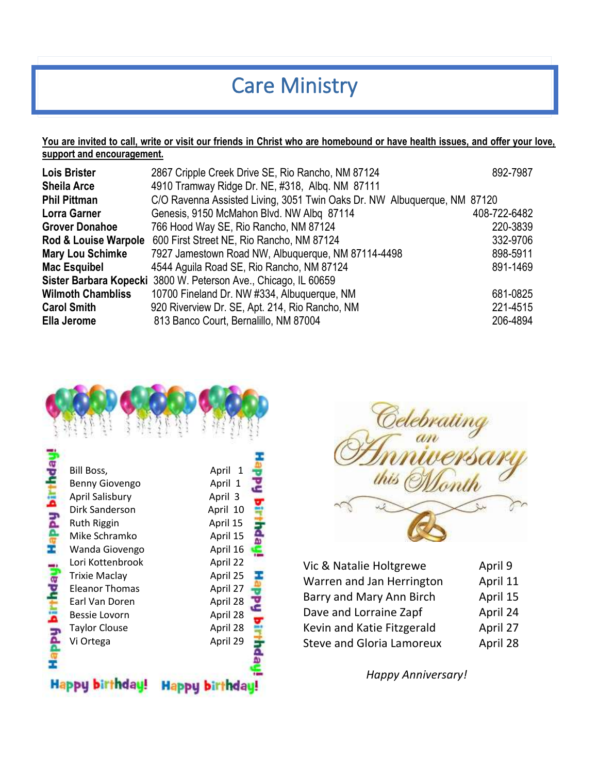# Care Ministry

#### **You are invited to call, write or visit our friends in Christ who are homebound or have health issues, and offer your love, support and encouragement.**

| <b>Lois Brister</b><br><b>Sheila Arce</b> | 2867 Cripple Creek Drive SE, Rio Rancho, NM 87124<br>4910 Tramway Ridge Dr. NE, #318, Albq. NM 87111 | 892-7987     |
|-------------------------------------------|------------------------------------------------------------------------------------------------------|--------------|
| <b>Phil Pittman</b>                       | C/O Ravenna Assisted Living, 3051 Twin Oaks Dr. NW Albuquerque, NM 87120                             |              |
| <b>Lorra Garner</b>                       | Genesis, 9150 McMahon Blvd. NW Albq 87114                                                            | 408-722-6482 |
| <b>Grover Donahoe</b>                     | 766 Hood Way SE, Rio Rancho, NM 87124                                                                | 220-3839     |
| Rod & Louise Warpole                      | 600 First Street NE, Rio Rancho, NM 87124                                                            | 332-9706     |
| <b>Mary Lou Schimke</b>                   | 7927 Jamestown Road NW, Albuquerque, NM 87114-4498                                                   | 898-5911     |
| <b>Mac Esquibel</b>                       | 4544 Aguila Road SE, Rio Rancho, NM 87124                                                            | 891-1469     |
|                                           | Sister Barbara Kopecki 3800 W. Peterson Ave., Chicago, IL 60659                                      |              |
| <b>Wilmoth Chambliss</b>                  | 10700 Fineland Dr. NW #334, Albuquerque, NM                                                          | 681-0825     |
| <b>Carol Smith</b>                        | 920 Riverview Dr. SE, Apt. 214, Rio Rancho, NM                                                       | 221-4515     |
| Ella Jerome                               | 813 Banco Court, Bernalillo, NM 87004                                                                | 206-4894     |





| Vic & Natalie Holtgrewe          | April 9  |
|----------------------------------|----------|
| Warren and Jan Herrington        | April 11 |
| Barry and Mary Ann Birch         | April 15 |
| Dave and Lorraine Zapf           | April 24 |
| Kevin and Katie Fitzgerald       | April 27 |
| <b>Steve and Gloria Lamoreux</b> | April 28 |

 *Happy Anniversary!*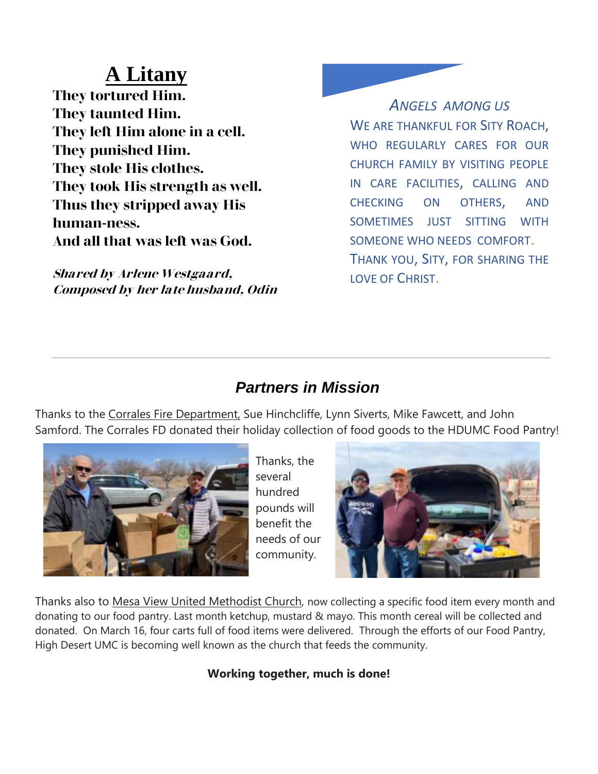# **A Litany**

**They tortured Him. They taunted Him. They left Him alone in a cell. They punished Him. They stole His clothes. They took His strength as well. Thus they stripped away His human-ness. And all that was left was God.**

**Shared by Arlene Westgaard, Composed by her late husband, Odin**

*ANGELS AMONG US* WE ARE THANKFUL FOR SITY ROACH, WHO REGULARLY CARES FOR OUR CHURCH FAMILY BY VISITING PEOPLE IN CARE FACILITIES, CALLING AND CHECKING ON OTHERS, AND SOMETIMES JUST SITTING WITH SOMEONE WHO NEEDS COMFORT. THANK YOU, SITY, FOR SHARING THE LOVE OF CHRIST.

### *Partners in Mission*

Thanks to the Corrales Fire Department, Sue Hinchcliffe, Lynn Siverts, Mike Fawcett, and John Samford. The Corrales FD donated their holiday collection of food goods to the HDUMC Food Pantry!



Thanks, the several hundred pounds will benefit the needs of our community.



Thanks also to Mesa View United Methodist Church, now collecting a specific food item every month and donating to our food pantry. Last month ketchup, mustard & mayo. This month cereal will be collected and donated. On March 16, four carts full of food items were delivered. Through the efforts of our Food Pantry, High Desert UMC is becoming well known as the church that feeds the community.

#### **Working together, much is done!**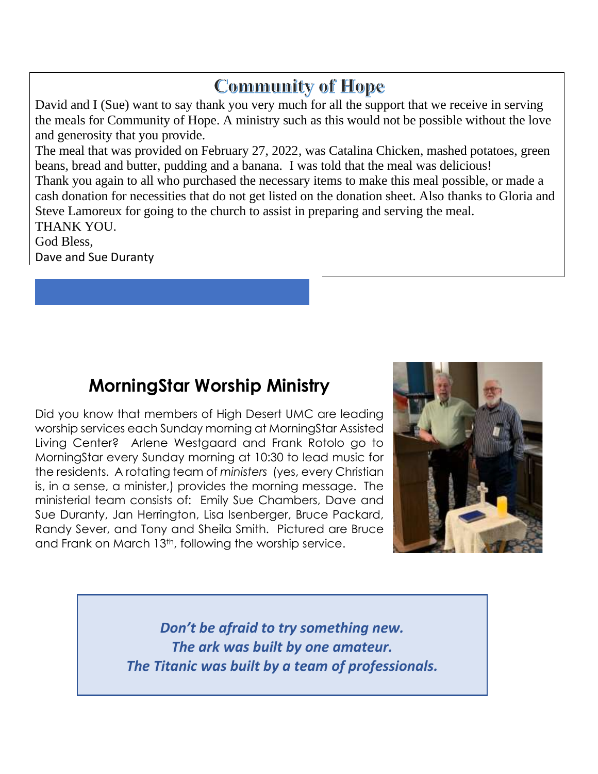## **Community of Hope**

David and I (Sue) want to say thank you very much for all the support that we receive in serving the meals for Community of Hope. A ministry such as this would not be possible without the love and generosity that you provide.

The meal that was provided on February 27, 2022, was Catalina Chicken, mashed potatoes, green beans, bread and butter, pudding and a banana. I was told that the meal was delicious! Thank you again to all who purchased the necessary items to make this meal possible, or made a cash donation for necessities that do not get listed on the donation sheet. Also thanks to Gloria and Steve Lamoreux for going to the church to assist in preparing and serving the meal. THANK YOU.

God Bless, Dave and Sue Duranty

## **MorningStar Worship Ministry**

Did you know that members of High Desert UMC are leading worship services each Sunday morning at MorningStar Assisted Living Center? Arlene Westgaard and Frank Rotolo go to MorningStar every Sunday morning at 10:30 to lead music for the residents. A rotating team of *ministers* (yes, every Christian is, in a sense, a minister,) provides the morning message. The ministerial team consists of: Emily Sue Chambers, Dave and Sue Duranty, Jan Herrington, Lisa Isenberger, Bruce Packard, Randy Sever, and Tony and Sheila Smith. Pictured are Bruce and Frank on March 13th, following the worship service.



*Don't be afraid to try something new. The ark was built by one amateur. The Titanic was built by a team of professionals.*